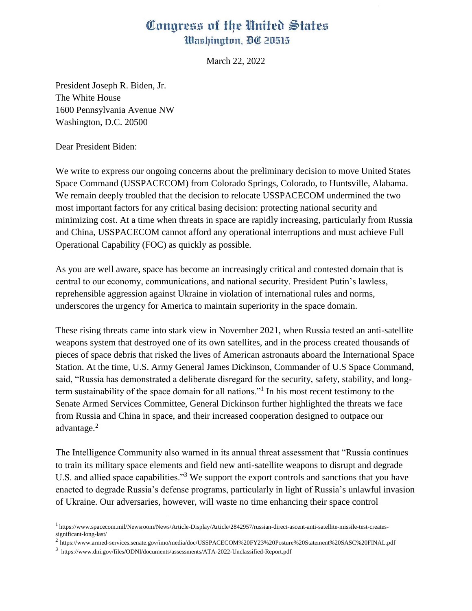## Congress of the United States Washington, DC 20515

March 22, 2022

President Joseph R. Biden, Jr. The White House 1600 Pennsylvania Avenue NW Washington, D.C. 20500

Dear President Biden:

We write to express our ongoing concerns about the preliminary decision to move United States Space Command (USSPACECOM) from Colorado Springs, Colorado, to Huntsville, Alabama. We remain deeply troubled that the decision to relocate USSPACECOM undermined the two most important factors for any critical basing decision: protecting national security and minimizing cost. At a time when threats in space are rapidly increasing, particularly from Russia and China, USSPACECOM cannot afford any operational interruptions and must achieve Full Operational Capability (FOC) as quickly as possible.

As you are well aware, space has become an increasingly critical and contested domain that is central to our economy, communications, and national security. President Putin's lawless, reprehensible aggression against Ukraine in violation of international rules and norms, underscores the urgency for America to maintain superiority in the space domain.

These rising threats came into stark view in November 2021, when Russia tested an anti-satellite weapons system that destroyed one of its own satellites, and in the process created thousands of pieces of space debris that risked the lives of American astronauts aboard the International Space Station. At the time, U.S. Army General James Dickinson, Commander of U.S Space Command, said, "Russia has demonstrated a deliberate disregard for the security, safety, stability, and longterm sustainability of the space domain for all nations."<sup>1</sup> In his most recent testimony to the Senate Armed Services Committee, General Dickinson further highlighted the threats we face from Russia and China in space, and their increased cooperation designed to outpace our advantage.<sup>2</sup>

The Intelligence Community also warned in its annual threat assessment that "Russia continues to train its military space elements and field new anti-satellite weapons to disrupt and degrade U.S. and allied space capabilities."<sup>3</sup> We support the export controls and sanctions that you have enacted to degrade Russia's defense programs, particularly in light of Russia's unlawful invasion of Ukraine. Our adversaries, however, will waste no time enhancing their space control

<sup>1</sup> https://www.spacecom.mil/Newsroom/News/Article-Display/Article/2842957/russian-direct-ascent-anti-satellite-missile-test-createssignificant-long-last/

<sup>2</sup> https://www.armed-services.senate.gov/imo/media/doc/USSPACECOM%20FY23%20Posture%20Statement%20SASC%20FINAL.pdf

<sup>3</sup> https://www.dni.gov/files/ODNI/documents/assessments/ATA-2022-Unclassified-Report.pdf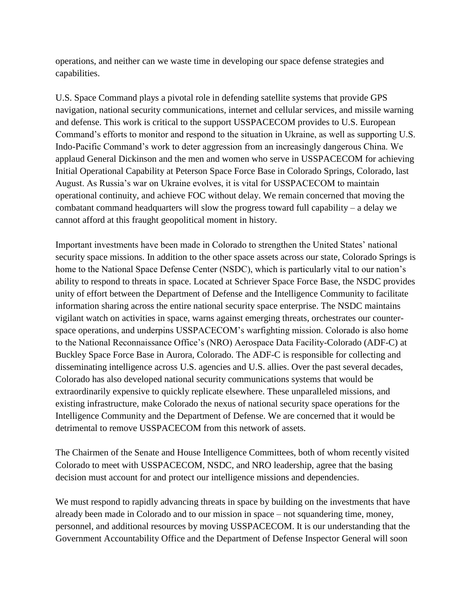operations, and neither can we waste time in developing our space defense strategies and capabilities.

U.S. Space Command plays a pivotal role in defending satellite systems that provide GPS navigation, national security communications, internet and cellular services, and missile warning and defense. This work is critical to the support USSPACECOM provides to U.S. European Command's efforts to monitor and respond to the situation in Ukraine, as well as supporting U.S. Indo-Pacific Command's work to deter aggression from an increasingly dangerous China. We applaud General Dickinson and the men and women who serve in USSPACECOM for achieving Initial Operational Capability at Peterson Space Force Base in Colorado Springs, Colorado, last August. As Russia's war on Ukraine evolves, it is vital for USSPACECOM to maintain operational continuity, and achieve FOC without delay. We remain concerned that moving the combatant command headquarters will slow the progress toward full capability – a delay we cannot afford at this fraught geopolitical moment in history.

Important investments have been made in Colorado to strengthen the United States' national security space missions. In addition to the other space assets across our state, Colorado Springs is home to the National Space Defense Center (NSDC), which is particularly vital to our nation's ability to respond to threats in space. Located at Schriever Space Force Base, the NSDC provides unity of effort between the Department of Defense and the Intelligence Community to facilitate information sharing across the entire national security space enterprise. The NSDC maintains vigilant watch on activities in space, warns against emerging threats, orchestrates our counterspace operations, and underpins USSPACECOM's warfighting mission. Colorado is also home to the National Reconnaissance Office's (NRO) Aerospace Data Facility-Colorado (ADF-C) at Buckley Space Force Base in Aurora, Colorado. The ADF-C is responsible for collecting and disseminating intelligence across U.S. agencies and U.S. allies. Over the past several decades, Colorado has also developed national security communications systems that would be extraordinarily expensive to quickly replicate elsewhere. These unparalleled missions, and existing infrastructure, make Colorado the nexus of national security space operations for the Intelligence Community and the Department of Defense. We are concerned that it would be detrimental to remove USSPACECOM from this network of assets.

The Chairmen of the Senate and House Intelligence Committees, both of whom recently visited Colorado to meet with USSPACECOM, NSDC, and NRO leadership, agree that the basing decision must account for and protect our intelligence missions and dependencies.

We must respond to rapidly advancing threats in space by building on the investments that have already been made in Colorado and to our mission in space – not squandering time, money, personnel, and additional resources by moving USSPACECOM. It is our understanding that the Government Accountability Office and the Department of Defense Inspector General will soon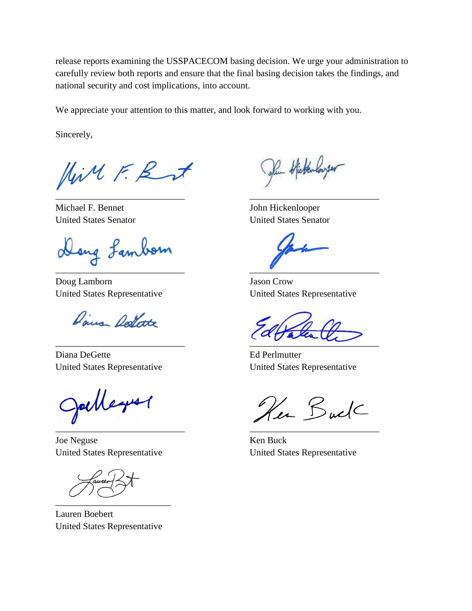release reports examining the USSPACECOM basing decision. We urge your administration to carefully review both reports and ensure that the final basing decision takes the findings, and national security and cost implications, into account.

We appreciate your attention to this matter, and look forward to working with you.

Sincerely,

Hill F. Rut

Michael F. Bennet John Hickenlooper United States Senator United States Senator

Dang Lambom

Doug Lamborn Jason Crow

Daira Dellate

Diana DeGette Ed Perlmutter United States Representative United States Representative

Julleyer  $\mathcal{L}_\text{M}$ 

Joe Neguse Ken Buck United States Representative United States Representative

\_\_\_\_\_\_\_\_\_\_\_\_\_\_\_\_\_\_\_\_\_\_\_\_\_

Lauren Boebert United States Representative

Jan Hickenloyer \_\_\_\_\_\_\_\_\_\_\_\_\_\_\_\_\_\_\_\_\_\_\_\_\_\_\_\_ \_\_\_\_\_\_\_\_\_\_\_\_\_\_\_\_\_\_\_\_\_\_\_\_\_\_\_\_

 $\blacksquare$ 

United States Representative United States Representative

\_\_\_\_\_\_\_\_\_\_\_\_\_\_\_\_\_\_\_\_\_\_\_\_\_\_\_\_ \_\_\_\_\_\_\_\_\_\_\_\_\_\_\_\_\_\_\_\_\_\_\_\_\_\_\_\_

Her Buck